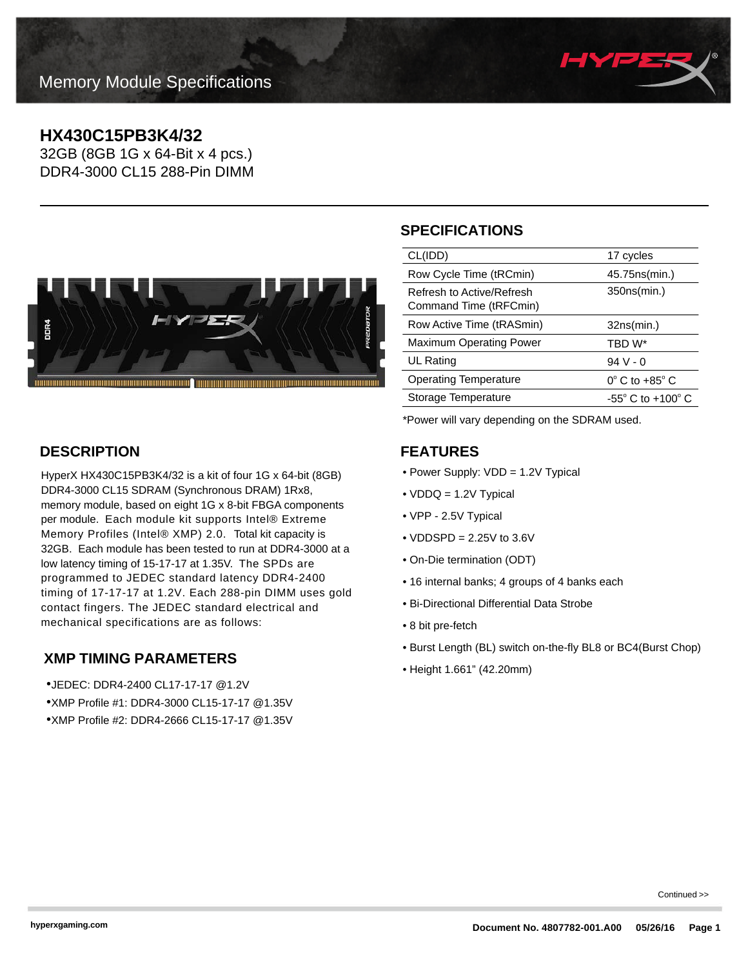

# **HX430C15PB3K4/32**

32GB (8GB 1G x 64-Bit x 4 pcs.) DDR4-3000 CL15 288-Pin DIMM



# **SPECIFICATIONS**

| CL(IDD)                                             | 17 cycles                           |
|-----------------------------------------------------|-------------------------------------|
| Row Cycle Time (tRCmin)                             | 45.75 ns (min.)                     |
| Refresh to Active/Refresh<br>Command Time (tRFCmin) | 350ns(min.)                         |
| Row Active Time (tRASmin)                           | 32ns(min.)                          |
| <b>Maximum Operating Power</b>                      | TBD W*                              |
| UL Rating                                           | 94 V - 0                            |
| <b>Operating Temperature</b>                        | $0^\circ$ C to +85 $^\circ$ C       |
| Storage Temperature                                 | $-55^{\circ}$ C to $+100^{\circ}$ C |
|                                                     |                                     |

\*Power will vary depending on the SDRAM used.

#### **FEATURES**

- Power Supply: VDD = 1.2V Typical
- VDDQ = 1.2V Typical
- VPP 2.5V Typical
- VDDSPD = 2.25V to 3.6V
- On-Die termination (ODT)
- 16 internal banks; 4 groups of 4 banks each
- Bi-Directional Differential Data Strobe
- 8 bit pre-fetch
- Burst Length (BL) switch on-the-fly BL8 or BC4(Burst Chop)
- Height 1.661" (42.20mm)

## **DESCRIPTION**

HyperX HX430C15PB3K4/32 is a kit of four 1G x 64-bit (8GB) DDR4-3000 CL15 SDRAM (Synchronous DRAM) 1Rx8, memory module, based on eight 1G x 8-bit FBGA components per module. Each module kit supports Intel® Extreme Memory Profiles (Intel® XMP) 2.0. Total kit capacity is 32GB. Each module has been tested to run at DDR4-3000 at a low latency timing of 15-17-17 at 1.35V. The SPDs are programmed to JEDEC standard latency DDR4-2400 timing of 17-17-17 at 1.2V. Each 288-pin DIMM uses gold contact fingers. The JEDEC standard electrical and mechanical specifications are as follows:

## **XMP TIMING PARAMETERS**

•JEDEC: DDR4-2400 CL17-17-17 @1.2V •XMP Profile #1: DDR4-3000 CL15-17-17 @1.35V •XMP Profile #2: DDR4-2666 CL15-17-17 @1.35V

Continued >>